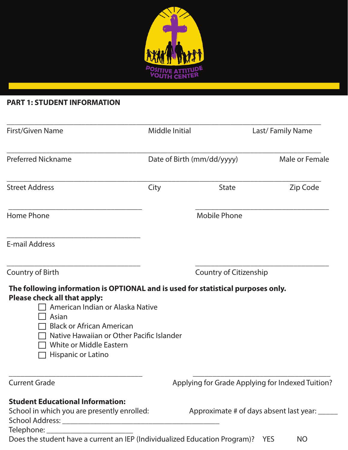

# **PART 1: STUDENT INFORMATION**

| First/Given Name                                                                                                                                     | Middle Initial<br>Date of Birth (mm/dd/yyyy) |                        | Last/Family Name<br>Male or Female               |  |
|------------------------------------------------------------------------------------------------------------------------------------------------------|----------------------------------------------|------------------------|--------------------------------------------------|--|
| <b>Preferred Nickname</b>                                                                                                                            |                                              |                        |                                                  |  |
| <b>Street Address</b>                                                                                                                                | City                                         | <b>State</b>           | Zip Code                                         |  |
| <b>Home Phone</b>                                                                                                                                    |                                              | <b>Mobile Phone</b>    |                                                  |  |
| <b>E-mail Address</b>                                                                                                                                |                                              |                        |                                                  |  |
| Country of Birth                                                                                                                                     |                                              | Country of Citizenship |                                                  |  |
| The following information is OPTIONAL and is used for statistical purposes only.<br>Please check all that apply:<br>American Indian or Alaska Native |                                              |                        |                                                  |  |
| Asian<br><b>Black or African American</b><br>Native Hawaiian or Other Pacific Islander                                                               |                                              |                        |                                                  |  |
| <b>White or Middle Eastern</b><br>Hispanic or Latino                                                                                                 |                                              |                        |                                                  |  |
| <b>Current Grade</b>                                                                                                                                 |                                              |                        | Applying for Grade Applying for Indexed Tuition? |  |
| <b>Student Educational Information:</b>                                                                                                              |                                              |                        |                                                  |  |
| School in which you are presently enrolled:                                                                                                          |                                              |                        | Approximate # of days absent last year: _____    |  |
|                                                                                                                                                      |                                              |                        |                                                  |  |

Does the student have a current an IEP (Individualized Education Program)? YES NO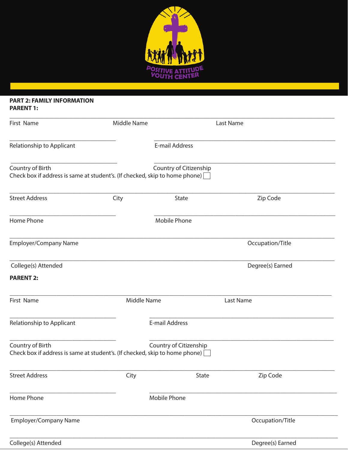

#### **PART 2: FAMILY INFORMATION PARENT 1:**

| First Name                                                                                             | Middle Name        |                        | Last Name        |
|--------------------------------------------------------------------------------------------------------|--------------------|------------------------|------------------|
| Relationship to Applicant                                                                              |                    | E-mail Address         |                  |
| Country of Birth<br>Check box if address is same at student's. (If checked, skip to home phone) $\Box$ |                    | Country of Citizenship |                  |
| <b>Street Address</b>                                                                                  | City               | <b>State</b>           | Zip Code         |
| Home Phone                                                                                             |                    | Mobile Phone           |                  |
| <b>Employer/Company Name</b>                                                                           |                    |                        | Occupation/Title |
| College(s) Attended                                                                                    |                    |                        | Degree(s) Earned |
| <b>PARENT 2:</b>                                                                                       |                    |                        |                  |
| First Name                                                                                             | <b>Middle Name</b> |                        | Last Name        |
| Relationship to Applicant                                                                              |                    | E-mail Address         |                  |
| Country of Birth<br>Check box if address is same at student's. (If checked, skip to home phone) [      |                    | Country of Citizenship |                  |
| <b>Street Address</b>                                                                                  | City               | State                  | Zip Code         |
| Home Phone                                                                                             |                    | <b>Mobile Phone</b>    |                  |
| Employer/Company Name                                                                                  |                    |                        | Occupation/Title |
| College(s) Attended                                                                                    |                    |                        | Degree(s) Earned |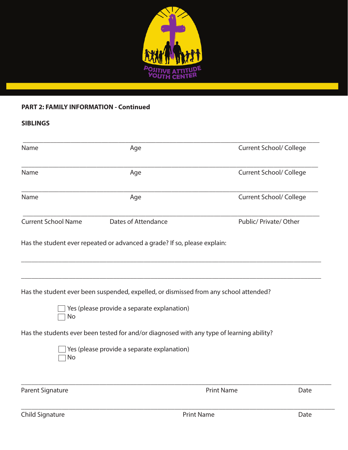

### **PART 2: FAMILY INFORMATION - Continued**

## **SIBLINGS**

| Name                       | Age                                                                                       |                                | <b>Current School/ College</b> |  |
|----------------------------|-------------------------------------------------------------------------------------------|--------------------------------|--------------------------------|--|
| Name                       | Age                                                                                       | <b>Current School/ College</b> |                                |  |
| Name                       | Age                                                                                       | <b>Current School/ College</b> |                                |  |
| <b>Current School Name</b> | Dates of Attendance                                                                       | Public/ Private/ Other         |                                |  |
|                            | Has the student ever repeated or advanced a grade? If so, please explain:                 |                                |                                |  |
|                            |                                                                                           |                                |                                |  |
|                            | Has the student ever been suspended, expelled, or dismissed from any school attended?     |                                |                                |  |
| No                         | Yes (please provide a separate explanation)                                               |                                |                                |  |
|                            | Has the students ever been tested for and/or diagnosed with any type of learning ability? |                                |                                |  |
| No                         | Yes (please provide a separate explanation)                                               |                                |                                |  |
| <b>Parent Signature</b>    |                                                                                           | <b>Print Name</b>              | Date                           |  |

Child Signature Date